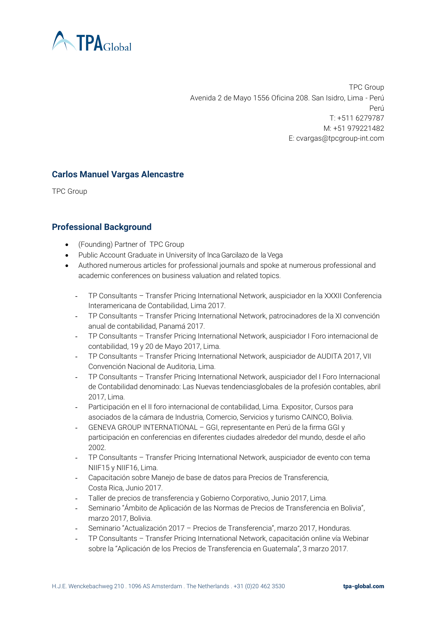

TPC Group Avenida 2 de Mayo 1556 Oficina 208. San Isidro, Lima - Perú Perú T: +511 6279787 M: +51 979221482 E: cvargas@tpcgroup-int.com

## **Carlos Manuel Vargas Alencastre**

TPC Group

## **Professional Background**

- (Founding) Partner of TPC Group
- Public Account Graduate in University of Inca Garcilazo de la Vega
- Authored numerous articles for professional journals and spoke at numerous professional and academic conferences on business valuation and related topics.
	- TP Consultants Transfer Pricing International Network, auspiciador en la XXXII Conferencia Interamericana de Contabilidad, Lima 2017.
	- TP Consultants Transfer Pricing International Network, patrocinadores de la XI convención anual de contabilidad, Panamá 2017.
	- TP Consultants Transfer Pricing International Network, auspiciador I Foro internacional de contabilidad, 19 y 20 de Mayo 2017, Lima.
	- TP Consultants Transfer Pricing International Network, auspiciador de AUDITA 2017, VII Convención Nacional de Auditoria, Lima.
	- TP Consultants Transfer Pricing International Network, auspiciador del I Foro Internacional de Contabilidad denominado: Las Nuevas tendenciasglobales de la profesión contables, abril 2017, Lima.
	- Participación en el II foro internacional de contabilidad, Lima. Expositor, Cursos para asociados de la cámara de Industria, Comercio, Servicios y turismo CAINCO, Bolivia.
	- GENEVA GROUP INTERNATIONAL GGI, representante en Perú de la firma GGI y participación en conferencias en diferentes ciudades alrededor del mundo, desde el año 2002.
	- TP Consultants Transfer Pricing International Network, auspiciador de evento con tema NIIF15 y NIIF16, Lima.
	- Capacitación sobre Manejo de base de datos para Precios de Transferencia, Costa Rica, Junio 2017.
	- Taller de precios de transferencia y Gobierno Corporativo, Junio 2017, Lima.
	- Seminario "Ámbito de Aplicación de las Normas de Precios de Transferencia en Bolivia", marzo 2017, Bolivia.
	- Seminario "Actualización 2017 Precios de Transferencia", marzo 2017, Honduras.
	- TP Consultants Transfer Pricing International Network, capacitación online vía Webinar sobre la "Aplicación de los Precios de Transferencia en Guatemala", 3 marzo 2017.